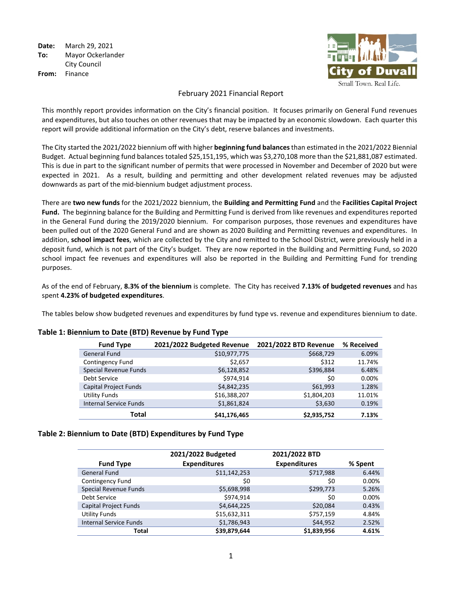**Date:** March 29, 2021 **To:** Mayor Ockerlander City Council **From:** Finance



#### February 2021 Financial Report

This monthly report provides information on the City's financial position. It focuses primarily on General Fund revenues and expenditures, but also touches on other revenues that may be impacted by an economic slowdown. Each quarter this report will provide additional information on the City's debt, reserve balances and investments.

The City started the 2021/2022 biennium off with higher **beginning fund balances**than estimated in the 2021/2022 Biennial Budget.Actual beginning fund balances totaled \$25,151,195, which was \$3,270,108 more than the \$21,881,087 estimated. This is due in part to the significant number of permits that were processed in November and December of 2020 but were expected in 2021. As a result, building and permitting and other development related revenues may be adjusted downwards as part of the mid-biennium budget adjustment process.

There are **two new funds** for the 2021/2022 biennium, the **Building and Permitting Fund** and the **Facilities Capital Project Fund.** The beginning balance for the Building and Permitting Fund is derived from like revenues and expenditures reported in the General Fund during the 2019/2020 biennium. For comparison purposes, those revenues and expenditures have been pulled out of the 2020 General Fund and are shown as 2020 Building and Permitting revenues and expenditures. In addition, **school impact fees**, which are collected by the City and remitted to the School District, were previously held in a deposit fund, which is not part of the City's budget. They are now reported in the Building and Permitting Fund, so 2020 school impact fee revenues and expenditures will also be reported in the Building and Permitting Fund for trending purposes.

As of the end of February, **8.3% of the biennium** is complete. The City has received **7.13% of budgeted revenues** and has spent **4.23% of budgeted expenditures**.

The tables below show budgeted revenues and expenditures by fund type vs. revenue and expenditures biennium to date.

| <b>Fund Type</b>              | 2021/2022 Budgeted Revenue | 2021/2022 BTD Revenue | % Received |
|-------------------------------|----------------------------|-----------------------|------------|
| General Fund                  | \$10,977,775               | \$668,729             | 6.09%      |
| <b>Contingency Fund</b>       | \$2,657                    | \$312                 | 11.74%     |
| Special Revenue Funds         | \$6,128,852                | \$396,884             | 6.48%      |
| Debt Service                  | \$974.914                  | \$0                   | 0.00%      |
| Capital Project Funds         | \$4,842,235                | \$61,993              | 1.28%      |
| <b>Utility Funds</b>          | \$16,388,207               | \$1,804,203           | 11.01%     |
| <b>Internal Service Funds</b> | \$1,861,824                | \$3,630               | 0.19%      |
| Total                         | \$41,176,465               | \$2,935,752           | 7.13%      |

#### **Table 1: Biennium to Date (BTD) Revenue by Fund Type**

#### **Table 2: Biennium to Date (BTD) Expenditures by Fund Type**

|                               | 2021/2022 Budgeted  | 2021/2022 BTD       |         |
|-------------------------------|---------------------|---------------------|---------|
| <b>Fund Type</b>              | <b>Expenditures</b> | <b>Expenditures</b> | % Spent |
| <b>General Fund</b>           | \$11,142,253        | \$717,988           | 6.44%   |
| <b>Contingency Fund</b>       | \$0                 | \$0                 | 0.00%   |
| Special Revenue Funds         | \$5,698,998         | \$299,773           | 5.26%   |
| Debt Service                  | \$974,914           | \$0                 | 0.00%   |
| <b>Capital Project Funds</b>  | \$4,644,225         | \$20,084            | 0.43%   |
| <b>Utility Funds</b>          | \$15,632,311        | \$757,159           | 4.84%   |
| <b>Internal Service Funds</b> | \$1,786,943         | \$44,952            | 2.52%   |
| Total                         | \$39,879,644        | \$1,839,956         | 4.61%   |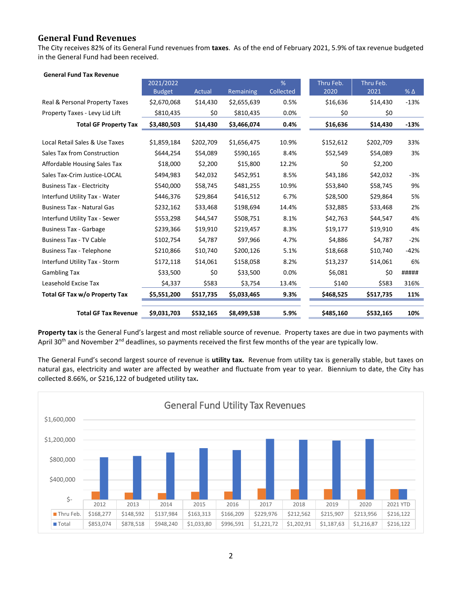## **General Fund Revenues**

The City receives 82% of its General Fund revenues from **taxes**. As of the end of February 2021, 5.9% of tax revenue budgeted in the General Fund had been received.

| <b>General Fund Tax Revenue</b>   |               |           |             |           |           |           |            |
|-----------------------------------|---------------|-----------|-------------|-----------|-----------|-----------|------------|
|                                   | 2021/2022     |           |             | %         | Thru Feb. | Thru Feb. |            |
|                                   | <b>Budget</b> | Actual    | Remaining   | Collected | 2020      | 2021      | % $\Delta$ |
| Real & Personal Property Taxes    | \$2,670,068   | \$14,430  | \$2,655,639 | 0.5%      | \$16,636  | \$14,430  | $-13%$     |
| Property Taxes - Levy Lid Lift    | \$810,435     | \$0       | \$810,435   | 0.0%      | \$0       | \$0       |            |
| <b>Total GF Property Tax</b>      | \$3,480,503   | \$14,430  | \$3,466,074 | 0.4%      | \$16,636  | \$14,430  | $-13%$     |
|                                   |               |           |             |           |           |           |            |
| Local Retail Sales & Use Taxes    | \$1,859,184   | \$202,709 | \$1,656,475 | 10.9%     | \$152,612 | \$202,709 | 33%        |
| Sales Tax from Construction       | \$644,254     | \$54,089  | \$590,165   | 8.4%      | \$52,549  | \$54,089  | 3%         |
| Affordable Housing Sales Tax      | \$18,000      | \$2,200   | \$15,800    | 12.2%     | \$0       | \$2,200   |            |
| Sales Tax-Crim Justice-LOCAL      | \$494,983     | \$42,032  | \$452,951   | 8.5%      | \$43,186  | \$42,032  | $-3%$      |
| <b>Business Tax - Electricity</b> | \$540,000     | \$58,745  | \$481,255   | 10.9%     | \$53,840  | \$58,745  | 9%         |
| Interfund Utility Tax - Water     | \$446,376     | \$29,864  | \$416,512   | 6.7%      | \$28,500  | \$29,864  | 5%         |
| <b>Business Tax - Natural Gas</b> | \$232,162     | \$33,468  | \$198,694   | 14.4%     | \$32,885  | \$33,468  | 2%         |
| Interfund Utility Tax - Sewer     | \$553,298     | \$44,547  | \$508,751   | 8.1%      | \$42,763  | \$44,547  | 4%         |
| <b>Business Tax - Garbage</b>     | \$239,366     | \$19,910  | \$219,457   | 8.3%      | \$19,177  | \$19,910  | 4%         |
| <b>Business Tax - TV Cable</b>    | \$102,754     | \$4,787   | \$97,966    | 4.7%      | \$4,886   | \$4,787   | $-2%$      |
| <b>Business Tax - Telephone</b>   | \$210,866     | \$10,740  | \$200,126   | 5.1%      | \$18,668  | \$10,740  | $-42%$     |
| Interfund Utility Tax - Storm     | \$172,118     | \$14,061  | \$158,058   | 8.2%      | \$13,237  | \$14,061  | 6%         |
| <b>Gambling Tax</b>               | \$33,500      | \$0       | \$33,500    | 0.0%      | \$6,081   | \$0       | #####      |
| Leasehold Excise Tax              | \$4,337       | \$583     | \$3,754     | 13.4%     | \$140     | \$583     | 316%       |
| Total GF Tax w/o Property Tax     | \$5,551,200   | \$517,735 | \$5,033,465 | 9.3%      | \$468,525 | \$517,735 | 11%        |
|                                   |               |           |             |           |           |           |            |
| <b>Total GF Tax Revenue</b>       | \$9,031,703   | \$532,165 | \$8,499,538 | 5.9%      | \$485,160 | \$532,165 | 10%        |

**Property tax** is the General Fund's largest and most reliable source of revenue. Property taxes are due in two payments with April 30<sup>th</sup> and November 2<sup>nd</sup> deadlines, so payments received the first few months of the year are typically low.

The General Fund's second largest source of revenue is **utility tax.** Revenue from utility tax is generally stable, but taxes on natural gas, electricity and water are affected by weather and fluctuate from year to year. Biennium to date, the City has collected 8.66%, or \$216,122 of budgeted utility tax**.** 

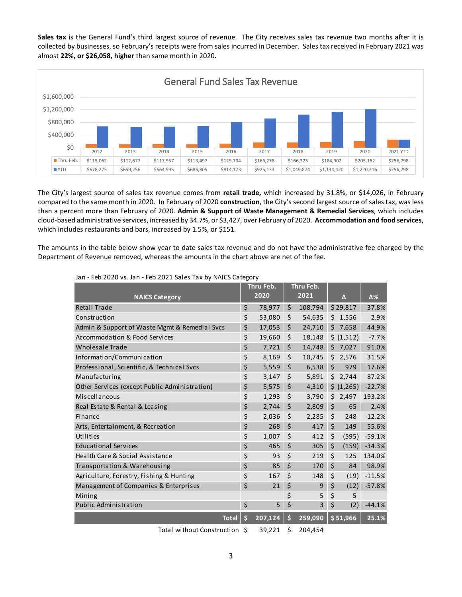**Sales tax** is the General Fund's third largest source of revenue. The City receives sales tax revenue two months after it is collected by businesses, so February's receipts were from sales incurred in December. Sales tax received in February 2021 was almost **22%, or \$26,058, higher** than same month in 2020.



The City's largest source of sales tax revenue comes from **retail trade,** which increased by 31.8%, or \$14,026, in February compared to the same month in 2020. In February of 2020 **construction**, the City's second largest source of sales tax, was less than a percent more than February of 2020. **Admin & Support of Waste Management & Remedial Services**, which includes cloud-based administrative services, increased by 34.7%, or \$3,427, over February of 2020. **Accommodation and food services**, which includes restaurants and bars, increased by 1.5%, or \$151.

The amounts in the table below show year to date sales tax revenue and do not have the administrative fee charged by the Department of Revenue removed, whereas the amounts in the chart above are net of the fee.

|                                               | Thru Feb. |         | Thru Feb. |         |         |            |          |
|-----------------------------------------------|-----------|---------|-----------|---------|---------|------------|----------|
| <b>NAICS Category</b>                         |           | 2020    |           | 2021    |         | Δ          | Δ%       |
| <b>Retail Trade</b>                           | \$        | 78,977  | \$        | 108,794 |         | \$29,817   | 37.8%    |
| Construction                                  | \$        | 53,080  | \$        | 54,635  | \$.     | 1,556      | 2.9%     |
| Admin & Support of Waste Mgmt & Remedial Svcs | \$        | 17,053  | \$        | 24,710  |         | \$7,658    | 44.9%    |
| Accommodation & Food Services                 | \$        | 19,660  | \$        | 18,148  |         | \$ (1,512) | $-7.7%$  |
| Wholesale Trade                               | \$        | 7,721   | \$        | 14,748  | Ś.      | 7,027      | 91.0%    |
| Information/Communication                     | \$        | 8,169   | \$        | 10,745  | \$      | 2,576      | 31.5%    |
| Professional, Scientific, & Technical Svcs    | \$        | 5,559   | \$        | 6,538   | \$      | 979        | 17.6%    |
| Manufacturing                                 | \$        | 3,147   | \$        | 5,891   | \$      | 2,744      | 87.2%    |
| Other Services (except Public Administration) | \$        | 5,575   | \$        | 4,310   |         | \$ (1,265) | $-22.7%$ |
| Miscellaneous                                 | \$        | 1,293   | $\zeta$   | 3,790   | Ś       | 2,497      | 193.2%   |
| Real Estate & Rental & Leasing                | \$        | 2,744   | \$        | 2,809   | $\zeta$ | 65         | 2.4%     |
| Finance                                       | \$        | 2,036   | $\zeta$   | 2,285   | \$      | 248        | 12.2%    |
| Arts, Entertainment, & Recreation             | \$        | 268     | \$        | 417     | \$      | 149        | 55.6%    |
| Utilities                                     | \$        | 1,007   | \$        | 412     | \$      | (595)      | $-59.1%$ |
| <b>Educational Services</b>                   | \$        | 465     | \$        | 305     | \$      | (159)      | $-34.3%$ |
| Health Care & Social Assistance               | \$        | 93      | \$        | 219     | $\zeta$ | 125        | 134.0%   |
| Transportation & Warehousing                  | \$        | 85      | \$        | 170     | \$      | 84         | 98.9%    |
| Agriculture, Forestry, Fishing & Hunting      | \$        | 167     | \$        | 148     | \$      | (19)       | $-11.5%$ |
| Management of Companies & Enterprises         | \$        | 21      | \$        | 9       | \$      | (12)       | $-57.8%$ |
| Mining                                        |           |         | \$        | 5       | \$      | 5          |          |
| Public Administration                         | \$        | 5       | \$        | 3       | \$      | (2)        | $-44.1%$ |
| <b>Total</b>                                  | \$        | 207,124 | \$        | 259,090 |         | \$51,966   | 25.1%    |

Jan - Feb 2020 vs. Jan - Feb 2021 Sales Tax by NAICS Category

Total without Construction \$ 39,221 \$ 204,454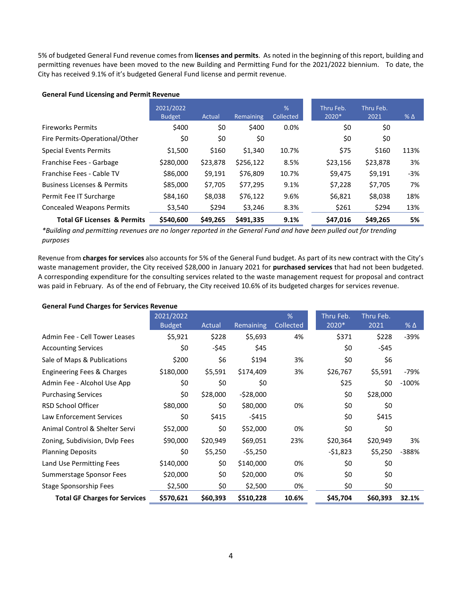5% of budgeted General Fund revenue comes from **licenses and permits**. As noted in the beginning of this report, building and permitting revenues have been moved to the new Building and Permitting Fund for the 2021/2022 biennium. To date, the City has received 9.1% of it's budgeted General Fund license and permit revenue.

#### **General Fund Licensing and Permit Revenue**

|                                        | 2021/2022<br><b>Budget</b> | Actual   | Remaining | %<br>Collected | Thru Feb.<br>2020* | Thru Feb.<br>2021 | $%$ $\Delta$ |
|----------------------------------------|----------------------------|----------|-----------|----------------|--------------------|-------------------|--------------|
| <b>Fireworks Permits</b>               | \$400                      | \$0      | \$400     | $0.0\%$        | \$0                | \$0               |              |
| Fire Permits-Operational/Other         | \$0                        | \$0      | \$0       |                | \$0                | \$0               |              |
| <b>Special Events Permits</b>          | \$1,500                    | \$160    | \$1,340   | 10.7%          | \$75               | \$160             | 113%         |
| Franchise Fees - Garbage               | \$280,000                  | \$23,878 | \$256,122 | 8.5%           | \$23,156           | \$23,878          | 3%           |
| Franchise Fees - Cable TV              | \$86,000                   | \$9,191  | \$76,809  | 10.7%          | \$9,475            | \$9,191           | $-3%$        |
| <b>Business Licenses &amp; Permits</b> | \$85,000                   | \$7,705  | \$77,295  | 9.1%           | \$7,228            | \$7,705           | 7%           |
| Permit Fee IT Surcharge                | \$84,160                   | \$8,038  | \$76,122  | 9.6%           | \$6,821            | \$8,038           | 18%          |
| <b>Concealed Weapons Permits</b>       | \$3,540                    | \$294    | \$3,246   | 8.3%           | \$261              | \$294             | 13%          |
| <b>Total GF Licenses &amp; Permits</b> | \$540,600                  | \$49,265 | \$491.335 | 9.1%           | \$47,016           | \$49,265          | 5%           |

*\*Building and permitting revenues are no longer reported in the General Fund and have been pulled out for trending purposes*

Revenue from **charges for services** also accounts for 5% of the General Fund budget. As part of its new contract with the City's waste management provider, the City received \$28,000 in January 2021 for **purchased services** that had not been budgeted. A corresponding expenditure for the consulting services related to the waste management request for proposal and contract was paid in February. As of the end of February, the City received 10.6% of its budgeted charges for services revenue.

| <b>General Fund Charges for Services Revenue</b> |  |
|--------------------------------------------------|--|
|--------------------------------------------------|--|

|                                      | 2021/2022<br><b>Budget</b> | Actual   | Remaining  | %<br>Collected | Thru Feb.<br>2020* | Thru Feb.<br>2021 | $%$ $\Delta$ |
|--------------------------------------|----------------------------|----------|------------|----------------|--------------------|-------------------|--------------|
| Admin Fee - Cell Tower Leases        | \$5,921                    | \$228    | \$5,693    | 4%             | \$371              | \$228             | $-39%$       |
| <b>Accounting Services</b>           | \$0                        | -\$45    | \$45       |                | \$0                | $-545$            |              |
| Sale of Maps & Publications          | \$200                      | \$6      | \$194      | 3%             | \$0                | \$6               |              |
| Engineering Fees & Charges           | \$180,000                  | \$5,591  | \$174,409  | 3%             | \$26,767           | \$5,591           | $-79%$       |
| Admin Fee - Alcohol Use App          | \$0                        | \$0      | \$0        |                | \$25               | \$0               | $-100%$      |
| <b>Purchasing Services</b>           | \$0                        | \$28,000 | $-528,000$ |                | \$0                | \$28,000          |              |
| <b>RSD School Officer</b>            | \$80,000                   | \$0      | \$80,000   | 0%             | \$0                | \$0               |              |
| Law Enforcement Services             | \$0                        | \$415    | $-5415$    |                | \$0                | \$415             |              |
| Animal Control & Shelter Servi       | \$52,000                   | \$0      | \$52,000   | 0%             | \$0                | \$0               |              |
| Zoning, Subdivision, Dvlp Fees       | \$90,000                   | \$20,949 | \$69,051   | 23%            | \$20,364           | \$20,949          | 3%           |
| <b>Planning Deposits</b>             | \$0                        | \$5,250  | $-55,250$  |                | $-51,823$          | \$5,250           | -388%        |
| Land Use Permitting Fees             | \$140,000                  | \$0      | \$140,000  | 0%             | \$0                | \$0               |              |
| Summerstage Sponsor Fees             | \$20,000                   | \$0      | \$20,000   | 0%             | \$0                | \$0               |              |
| <b>Stage Sponsorship Fees</b>        | \$2,500                    | \$0      | \$2,500    | 0%             | \$0                | \$0               |              |
| <b>Total GF Charges for Services</b> | \$570,621                  | \$60,393 | \$510,228  | 10.6%          | \$45,704           | \$60,393          | 32.1%        |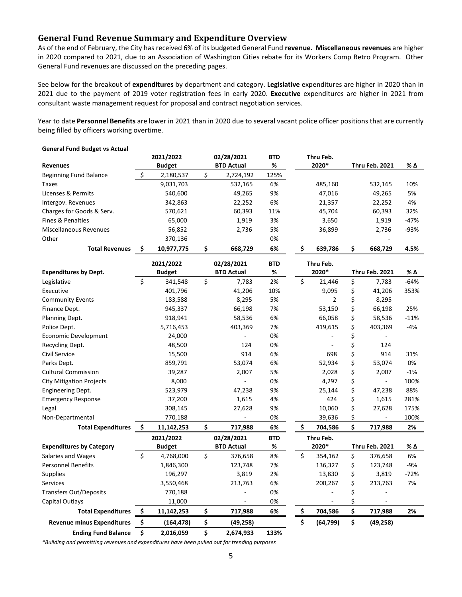## **General Fund Revenue Summary and Expenditure Overview**

As of the end of February, the City has received 6% of its budgeted General Fund **revenue. Miscellaneous revenues** are higher in 2020 compared to 2021, due to an Association of Washington Cities rebate for its Workers Comp Retro Program. Other General Fund revenues are discussed on the preceding pages.

See below for the breakout of **expenditures** by department and category. **Legislative** expenditures are higher in 2020 than in 2021 due to the payment of 2019 voter registration fees in early 2020. **Executive** expenditures are higher in 2021 from consultant waste management request for proposal and contract negotiation services.

Year to date **Personnel Benefits** are lower in 2021 than in 2020 due to several vacant police officer positions that are currently being filled by officers working overtime.

|                                   | 2021/2022        | 02/28/2021        | <b>BTD</b> | Thru Feb.       |    |                       |        |
|-----------------------------------|------------------|-------------------|------------|-----------------|----|-----------------------|--------|
| <b>Revenues</b>                   | <b>Budget</b>    | <b>BTD Actual</b> | %          | 2020*           |    | Thru Feb. 2021        | % Δ    |
| <b>Beginning Fund Balance</b>     | \$<br>2,180,537  | \$<br>2,724,192   | 125%       |                 |    |                       |        |
| <b>Taxes</b>                      | 9,031,703        | 532,165           | 6%         | 485,160         |    | 532,165               | 10%    |
| Licenses & Permits                | 540,600          | 49,265            | 9%         | 47,016          |    | 49,265                | 5%     |
| Intergov. Revenues                | 342,863          | 22,252            | 6%         | 21,357          |    | 22,252                | 4%     |
| Charges for Goods & Serv.         | 570,621          | 60,393            | 11%        | 45,704          |    | 60,393                | 32%    |
| <b>Fines &amp; Penalties</b>      | 65,000           | 1,919             | 3%         | 3,650           |    | 1,919                 | $-47%$ |
| <b>Miscellaneous Revenues</b>     | 56,852           | 2,736             | 5%         | 36,899          |    | 2,736                 | $-93%$ |
| Other                             | 370,136          |                   | 0%         |                 |    |                       |        |
| <b>Total Revenues</b>             | \$<br>10,977,775 | \$<br>668,729     | 6%         | \$<br>639,786   | \$ | 668,729               | 4.5%   |
|                                   | 2021/2022        | 02/28/2021        | <b>BTD</b> | Thru Feb.       |    |                       |        |
| <b>Expenditures by Dept.</b>      | <b>Budget</b>    | <b>BTD Actual</b> | %          | 2020*           |    | <b>Thru Feb. 2021</b> | % Δ    |
| Legislative                       | \$<br>341,548    | \$<br>7,783       | 2%         | \$<br>21,446    | \$ | 7,783                 | -64%   |
| Executive                         | 401,796          | 41,206            | 10%        | 9,095           | \$ | 41,206                | 353%   |
| <b>Community Events</b>           | 183,588          | 8,295             | 5%         | $\overline{2}$  | \$ | 8,295                 |        |
| Finance Dept.                     | 945,337          | 66,198            | 7%         | 53,150          | \$ | 66,198                | 25%    |
| Planning Dept.                    | 918,941          | 58,536            | 6%         | 66,058          | \$ | 58,536                | $-11%$ |
| Police Dept.                      | 5,716,453        | 403,369           | 7%         | 419,615         | \$ | 403,369               | -4%    |
| Economic Development              | 24,000           |                   | 0%         |                 | \$ |                       |        |
| Recycling Dept.                   | 48,500           | 124               | 0%         | $\blacksquare$  | \$ | 124                   |        |
| Civil Service                     | 15,500           | 914               | 6%         | 698             | \$ | 914                   | 31%    |
| Parks Dept.                       | 859,791          | 53,074            | 6%         | 52,934          | \$ | 53,074                | 0%     |
| <b>Cultural Commission</b>        | 39,287           | 2,007             | 5%         | 2,028           | \$ | 2,007                 | $-1%$  |
| <b>City Mitigation Projects</b>   | 8,000            |                   | 0%         | 4,297           | \$ | ÷.                    | 100%   |
| <b>Engineering Dept.</b>          | 523,979          | 47,238            | 9%         | 25,144          | \$ | 47,238                | 88%    |
| <b>Emergency Response</b>         | 37,200           | 1,615             | 4%         | 424             | \$ | 1,615                 | 281%   |
| Legal                             | 308,145          | 27,628            | 9%         | 10,060          | \$ | 27,628                | 175%   |
| Non-Departmental                  | 770,188          |                   | 0%         | 39,636          | \$ | $\blacksquare$        | 100%   |
| <b>Total Expenditures</b>         | \$<br>11,142,253 | \$<br>717,988     | 6%         | \$<br>704,586   | Ś. | 717,988               | 2%     |
|                                   | 2021/2022        | 02/28/2021        | <b>BTD</b> | Thru Feb.       |    |                       |        |
| <b>Expenditures by Category</b>   | <b>Budget</b>    | <b>BTD Actual</b> | %          | 2020*           |    | Thru Feb. 2021        | % Δ    |
| Salaries and Wages                | \$<br>4,768,000  | \$<br>376,658     | 8%         | \$<br>354,162   | \$ | 376,658               | 6%     |
| <b>Personnel Benefits</b>         | 1,846,300        | 123,748           | 7%         | 136,327         | \$ | 123,748               | -9%    |
| <b>Supplies</b>                   | 196,297          | 3,819             | 2%         | 13,830          | \$ | 3,819                 | $-72%$ |
| <b>Services</b>                   | 3,550,468        | 213,763           | 6%         | 200,267         | \$ | 213,763               | 7%     |
| <b>Transfers Out/Deposits</b>     | 770,188          |                   | 0%         |                 | \$ |                       |        |
| Capital Outlays                   | 11,000           |                   | 0%         |                 | \$ |                       |        |
| <b>Total Expenditures</b>         | \$<br>11,142,253 | \$<br>717,988     | 6%         | \$<br>704,586   | \$ | 717,988               | 2%     |
| <b>Revenue minus Expenditures</b> | \$<br>(164, 478) | \$<br>(49, 258)   |            | \$<br>(64, 799) | \$ | (49,258)              |        |
| <b>Ending Fund Balance</b>        | \$<br>2,016,059  | \$<br>2,674,933   | 133%       |                 |    |                       |        |

#### **General Fund Budget vs Actual**

*\*Building and permitting revenues and expenditures have been pulled out for trending purposes*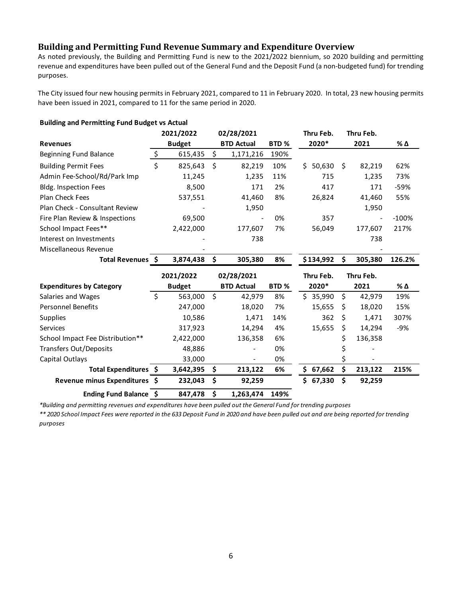# **Building and Permitting Fund Revenue Summary and Expenditure Overview**

As noted previously, the Building and Permitting Fund is new to the 2021/2022 biennium, so 2020 building and permitting revenue and expenditures have been pulled out of the General Fund and the Deposit Fund (a non-budgeted fund) for trending purposes.

The City issued four new housing permits in February 2021, compared to 11 in February 2020. In total, 23 new housing permits have been issued in 2021, compared to 11 for the same period in 2020.

| <b>Building and Permitting Fund Budget vs Actual</b> |                           |               |            |                   |                  |     |           |           |           |         |  |
|------------------------------------------------------|---------------------------|---------------|------------|-------------------|------------------|-----|-----------|-----------|-----------|---------|--|
|                                                      |                           | 2021/2022     |            | 02/28/2021        |                  |     | Thru Feb. |           | Thru Feb. |         |  |
| <b>Revenues</b>                                      |                           | <b>Budget</b> |            | <b>BTD Actual</b> | BTD <sub>%</sub> |     | 2020*     |           | 2021      | % Δ     |  |
| Beginning Fund Balance                               | $\boldsymbol{\mathsf{S}}$ | 615,435       | \$         | 1,171,216         | 190%             |     |           |           |           |         |  |
| <b>Building Permit Fees</b>                          | \$                        | 825,643       | \$         | 82,219            | 10%              | Ś.  | 50,630    | \$        | 82,219    | 62%     |  |
| Admin Fee-School/Rd/Park Imp                         |                           | 11,245        |            | 1,235             | 11%              |     | 715       |           | 1,235     | 73%     |  |
| Bldg. Inspection Fees                                |                           | 8,500         |            | 171               | 2%               |     | 417       |           | 171       | $-59%$  |  |
| Plan Check Fees                                      |                           | 537,551       |            | 41,460            | 8%               |     | 26,824    |           | 41,460    | 55%     |  |
| Plan Check - Consultant Review                       |                           |               |            | 1,950             |                  |     |           |           | 1,950     |         |  |
| Fire Plan Review & Inspections                       |                           | 69,500        |            |                   | 0%               |     | 357       |           |           | $-100%$ |  |
| School Impact Fees**                                 |                           | 2,422,000     |            | 177,607           | 7%               |     | 56,049    |           | 177,607   | 217%    |  |
| Interest on Investments                              |                           |               |            | 738               |                  |     |           |           | 738       |         |  |
| Miscellaneous Revenue                                |                           |               |            |                   |                  |     |           |           |           |         |  |
| Total Revenues \$                                    |                           | 3,874,438     | \$         | 305,380           | 8%               |     | \$134,992 | \$        | 305,380   | 126.2%  |  |
|                                                      |                           | 2021/2022     | 02/28/2021 |                   |                  |     | Thru Feb. | Thru Feb. |           |         |  |
| <b>Expenditures by Category</b>                      |                           | <b>Budget</b> |            | <b>BTD Actual</b> | BTD <sub>%</sub> |     | 2020*     |           | 2021      | % Δ     |  |
| Salaries and Wages                                   | Ś.                        | 563,000       | \$         | 42,979            | 8%               |     | \$35,990  | \$        | 42,979    | 19%     |  |
| <b>Personnel Benefits</b>                            |                           | 247,000       |            | 18,020            | 7%               |     | 15,655    | \$        | 18,020    | 15%     |  |
| Supplies                                             |                           | 10,586        |            | 1,471             | 14%              |     | 362       | \$        | 1,471     | 307%    |  |
| Services                                             |                           | 317,923       |            | 14,294            | 4%               |     | 15,655    | \$        | 14,294    | $-9%$   |  |
| School Impact Fee Distribution**                     |                           | 2,422,000     |            | 136,358           | 6%               |     |           | \$        | 136,358   |         |  |
| <b>Transfers Out/Deposits</b>                        |                           | 48,886        |            |                   | 0%               |     |           |           |           |         |  |
| Capital Outlays                                      |                           | 33,000        |            |                   | 0%               |     |           | \$        |           |         |  |
| Total Expenditures \$                                |                           | 3,642,395     | \$         | 213,122           | 6%               | \$. | 67,662    | \$        | 213,122   | 215%    |  |
| Revenue minus Expenditures \$                        |                           | 232,043       | \$         | 92,259            |                  |     | \$67,330  | \$        | 92,259    |         |  |
| Ending Fund Balance \$                               |                           | 847,478       | \$         | 1,263,474         | 149%             |     |           |           |           |         |  |

*\*Building and permitting revenues and expenditures have been pulled out the General Fund for trending purposes*

*\*\* 2020 School Impact Fees were reported in the 633 Deposit Fund in 2020 and have been pulled out and are being reported for trending purposes*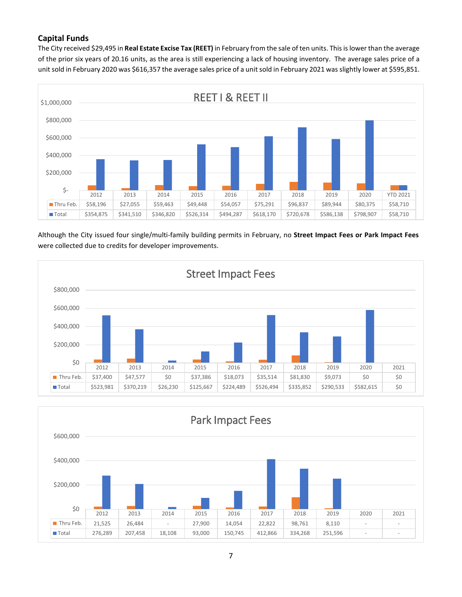## **Capital Funds**

The City received \$29,495 in **Real Estate Excise Tax (REET)** in February from the sale of ten units. This is lower than the average of the prior six years of 20.16 units, as the area is still experiencing a lack of housing inventory. The average sales price of a unit sold in February 2020 was \$616,357 the average sales price of a unit sold in February 2021 was slightly lower at \$595,851.



Although the City issued four single/multi-family building permits in February, no **Street Impact Fees or Park Impact Fees** were collected due to credits for developer improvements.



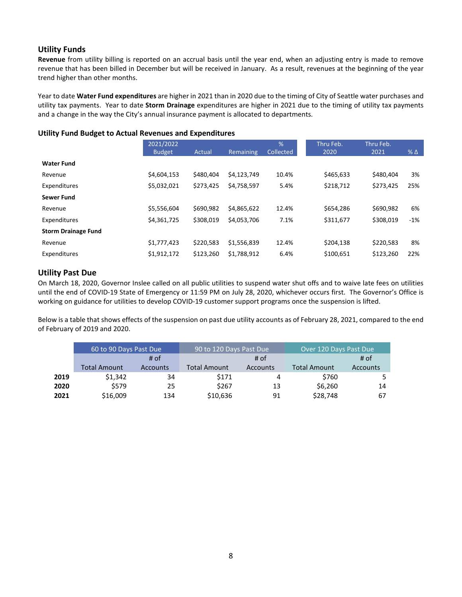## **Utility Funds**

**Revenue** from utility billing is reported on an accrual basis until the year end, when an adjusting entry is made to remove revenue that has been billed in December but will be received in January. As a result, revenues at the beginning of the year trend higher than other months.

Year to date **Water Fund expenditures** are higher in 2021 than in 2020 due to the timing of City of Seattle water purchases and utility tax payments. Year to date **Storm Drainage** expenditures are higher in 2021 due to the timing of utility tax payments and a change in the way the City's annual insurance payment is allocated to departments.

### **Utility Fund Budget to Actual Revenues and Expenditures**

|                            | 2021/2022     |           |                  | %         | Thru Feb. | Thru Feb. |            |
|----------------------------|---------------|-----------|------------------|-----------|-----------|-----------|------------|
|                            | <b>Budget</b> | Actual    | <b>Remaining</b> | Collected | 2020      | 2021      | $% \Delta$ |
| <b>Water Fund</b>          |               |           |                  |           |           |           |            |
| Revenue                    | \$4,604,153   | \$480,404 | \$4,123,749      | 10.4%     | \$465,633 | \$480,404 | 3%         |
| Expenditures               | \$5,032,021   | \$273,425 | \$4,758,597      | 5.4%      | \$218,712 | \$273,425 | 25%        |
| <b>Sewer Fund</b>          |               |           |                  |           |           |           |            |
| Revenue                    | \$5,556,604   | \$690.982 | \$4,865,622      | 12.4%     | \$654,286 | \$690,982 | 6%         |
| Expenditures               | \$4,361,725   | \$308.019 | \$4,053,706      | 7.1%      | \$311,677 | \$308.019 | $-1%$      |
| <b>Storm Drainage Fund</b> |               |           |                  |           |           |           |            |
| Revenue                    | \$1,777,423   | \$220,583 | \$1,556,839      | 12.4%     | \$204,138 | \$220,583 | 8%         |
| Expenditures               | \$1,912,172   | \$123,260 | \$1,788,912      | 6.4%      | \$100,651 | \$123,260 | 22%        |

## **Utility Past Due**

On March 18, 2020, Governor Inslee called on all public utilities to suspend water shut offs and to waive late fees on utilities until the end of COVID-19 State of Emergency or 11:59 PM on July 28, 2020, whichever occurs first. The Governor's Office is working on guidance for utilities to develop COVID-19 customer support programs once the suspension is lifted.

Below is a table that shows effects of the suspension on past due utility accounts as of February 28, 2021, compared to the end of February of 2019 and 2020.

|      | 60 to 90 Days Past Due |                 | 90 to 120 Days Past Due |                 | Over 120 Days Past Due |                 |  |  |
|------|------------------------|-----------------|-------------------------|-----------------|------------------------|-----------------|--|--|
|      |                        | # of            |                         | # of            | # of                   |                 |  |  |
|      | <b>Total Amount</b>    | <b>Accounts</b> | <b>Total Amount</b>     | <b>Accounts</b> | <b>Total Amount</b>    | <b>Accounts</b> |  |  |
| 2019 | \$1,342                | 34              | \$171                   | 4               | \$760                  |                 |  |  |
| 2020 | \$579                  | 25              | \$267                   | 13              | \$6,260                | 14              |  |  |
| 2021 | \$16,009               | 134             | \$10,636                | 91              | \$28,748               | 67              |  |  |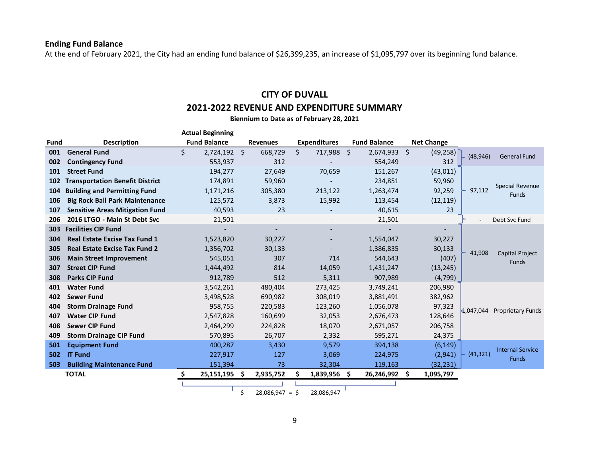# **Ending Fund Balance**

At the end of February 2021, the City had an ending fund balance of \$26,399,235, an increase of \$1,095,797 over its beginning fund balance.

# **CITY OF DUVALL 2021-2022 REVENUE AND EXPENDITURE SUMMARY**

**Biennium to Date as of February 28, 2021**

|      |                                        | <b>Actual Beginning</b> |                        |                     |                     |                                 |           |                          |
|------|----------------------------------------|-------------------------|------------------------|---------------------|---------------------|---------------------------------|-----------|--------------------------|
| Fund | <b>Description</b>                     | <b>Fund Balance</b>     | <b>Revenues</b>        | <b>Expenditures</b> | <b>Fund Balance</b> | <b>Net Change</b>               |           |                          |
| 001  | <b>General Fund</b>                    | \$<br>$2,724,192$ \$    | 668,729                | \$<br>717,988 \$    | 2,674,933           | $\ddot{\varsigma}$<br>(49, 258) | (48, 946) | <b>General Fund</b>      |
| 002  | <b>Contingency Fund</b>                | 553,937                 | 312                    |                     | 554,249             | 312                             |           |                          |
| 101  | <b>Street Fund</b>                     | 194,277                 | 27,649                 | 70,659              | 151,267             | (43, 011)                       |           |                          |
| 102  | <b>Transportation Benefit District</b> | 174,891                 | 59,960                 |                     | 234,851             | 59,960                          |           | <b>Special Revenue</b>   |
| 104  | <b>Building and Permitting Fund</b>    | 1,171,216               | 305,380                | 213,122             | 1,263,474           | 92,259                          | 97,112    | <b>Funds</b>             |
| 106  | <b>Big Rock Ball Park Maintenance</b>  | 125,572                 | 3,873                  | 15,992              | 113,454             | (12, 119)                       |           |                          |
| 107  | <b>Sensitive Areas Mitigation Fund</b> | 40,593                  | 23                     |                     | 40,615              | 23                              |           |                          |
| 206  | 2016 LTGO - Main St Debt Svc           | 21,501                  |                        |                     | 21,501              | $\overline{\phantom{a}}$        |           | Debt Svc Fund            |
| 303  | <b>Facilities CIP Fund</b>             |                         |                        |                     |                     |                                 |           |                          |
| 304  | <b>Real Estate Excise Tax Fund 1</b>   | 1,523,820               | 30,227                 |                     | 1,554,047           | 30,227                          |           |                          |
| 305  | <b>Real Estate Excise Tax Fund 2</b>   | 1,356,702               | 30,133                 |                     | 1,386,835           | 30,133                          | 41,908    | <b>Capital Project</b>   |
| 306  | <b>Main Street Improvement</b>         | 545,051                 | 307                    | 714                 | 544,643             | (407)                           |           | <b>Funds</b>             |
| 307  | <b>Street CIP Fund</b>                 | 1,444,492               | 814                    | 14,059              | 1,431,247           | (13, 245)                       |           |                          |
| 308  | <b>Parks CIP Fund</b>                  | 912,789                 | 512                    | 5,311               | 907,989             | (4, 799)                        |           |                          |
| 401  | <b>Water Fund</b>                      | 3,542,261               | 480,404                | 273,425             | 3,749,241           | 206,980                         |           |                          |
| 402  | <b>Sewer Fund</b>                      | 3,498,528               | 690,982                | 308,019             | 3,881,491           | 382,962                         |           |                          |
| 404  | <b>Storm Drainage Fund</b>             | 958,755                 | 220,583                | 123,260             | 1,056,078           | 97,323                          | 1,047,044 | <b>Proprietary Funds</b> |
| 407  | <b>Water CIP Fund</b>                  | 2,547,828               | 160,699                | 32,053              | 2,676,473           | 128,646                         |           |                          |
| 408  | <b>Sewer CIP Fund</b>                  | 2,464,299               | 224,828                | 18,070              | 2,671,057           | 206,758                         |           |                          |
| 409  | <b>Storm Drainage CIP Fund</b>         | 570,895                 | 26,707                 | 2,332               | 595,271             | 24,375                          |           |                          |
| 501  | <b>Equipment Fund</b>                  | 400,287                 | 3,430                  | 9,579               | 394,138             | (6, 149)                        |           | <b>Internal Service</b>  |
| 502  | <b>IT Fund</b>                         | 227,917                 | 127                    | 3,069               | 224,975             | (2, 941)                        | (41, 321) | <b>Funds</b>             |
| 503  | <b>Building Maintenance Fund</b>       | 151,394                 | 73                     | 32,304              | 119,163             | (32,231)                        |           |                          |
|      | <b>TOTAL</b>                           | Ŝ.<br>25,151,195 \$     | 2,935,752              | 1,839,956 \$        | 26,246,992 \$       | 1,095,797                       |           |                          |
|      |                                        |                         |                        |                     |                     |                                 |           |                          |
|      |                                        |                         | \$<br>$28,086,947 = $$ | 28,086,947          |                     |                                 |           |                          |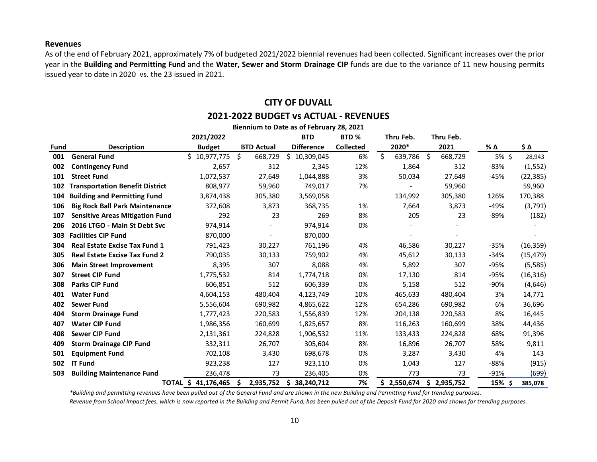#### **Revenues**

As of the end of February 2021, approximately 7% of budgeted 2021/2022 biennial revenues had been collected. Significant increases over the prior year in the **Building and Permitting Fund** and the **Water, Sewer and Storm Drainage CIP** funds are due to the variance of 11 new housing permits issued year to date in 2020 vs. the 23 issued in 2021.

# **CITY OF DUVALL 2021-2022 BUDGET vs ACTUAL - REVENUES**

| Biennium to Date as of February 28, 2021 |                                        |                     |                   |                   |                  |               |                |          |           |
|------------------------------------------|----------------------------------------|---------------------|-------------------|-------------------|------------------|---------------|----------------|----------|-----------|
|                                          |                                        | 2021/2022           |                   | <b>BTD</b>        | BTD <sub>%</sub> | Thru Feb.     | Thru Feb.      |          |           |
| Fund                                     | <b>Description</b>                     | <b>Budget</b>       | <b>BTD Actual</b> | <b>Difference</b> | <b>Collected</b> | 2020*         | 2021           | % Δ      | \$Δ       |
| 001                                      | <b>General Fund</b>                    | \$10,977,775        | \$<br>668,729     | Ś.<br>10,309,045  | 6%               | \$<br>639,786 | -\$<br>668,729 | 5% \$    | 28,943    |
| 002                                      | <b>Contingency Fund</b>                | 2,657               | 312               | 2,345             | 12%              | 1,864         | 312            | $-83%$   | (1, 552)  |
| 101                                      | <b>Street Fund</b>                     | 1,072,537           | 27,649            | 1,044,888         | 3%               | 50,034        | 27,649         | -45%     | (22, 385) |
| 102                                      | <b>Transportation Benefit District</b> | 808,977             | 59,960            | 749,017           | 7%               |               | 59,960         |          | 59,960    |
| 104                                      | <b>Building and Permitting Fund</b>    | 3,874,438           | 305,380           | 3,569,058         |                  | 134,992       | 305,380        | 126%     | 170,388   |
| 106                                      | <b>Big Rock Ball Park Maintenance</b>  | 372,608             | 3,873             | 368,735           | 1%               | 7,664         | 3,873          | -49%     | (3,791)   |
| 107                                      | <b>Sensitive Areas Mitigation Fund</b> | 292                 | 23                | 269               | 8%               | 205           | 23             | $-89%$   | (182)     |
| 206                                      | 2016 LTGO - Main St Debt Svc           | 974,914             |                   | 974,914           | 0%               |               |                |          |           |
| 303                                      | <b>Facilities CIP Fund</b>             | 870,000             |                   | 870,000           |                  |               |                |          |           |
| 304                                      | <b>Real Estate Excise Tax Fund 1</b>   | 791,423             | 30,227            | 761,196           | 4%               | 46,586        | 30,227         | $-35%$   | (16, 359) |
| 305                                      | <b>Real Estate Excise Tax Fund 2</b>   | 790,035             | 30,133            | 759,902           | 4%               | 45,612        | 30,133         | $-34%$   | (15, 479) |
| 306                                      | <b>Main Street Improvement</b>         | 8,395               | 307               | 8,088             | 4%               | 5,892         | 307            | $-95%$   | (5,585)   |
| 307                                      | <b>Street CIP Fund</b>                 | 1,775,532           | 814               | 1,774,718         | 0%               | 17,130        | 814            | $-95%$   | (16, 316) |
| 308                                      | Parks CIP Fund                         | 606,851             | 512               | 606,339           | 0%               | 5,158         | 512            | $-90%$   | (4, 646)  |
| 401                                      | <b>Water Fund</b>                      | 4,604,153           | 480,404           | 4,123,749         | 10%              | 465,633       | 480,404        | 3%       | 14,771    |
| 402                                      | <b>Sewer Fund</b>                      | 5,556,604           | 690,982           | 4,865,622         | 12%              | 654,286       | 690,982        | 6%       | 36,696    |
| 404                                      | <b>Storm Drainage Fund</b>             | 1,777,423           | 220,583           | 1,556,839         | 12%              | 204,138       | 220,583        | 8%       | 16,445    |
| 407                                      | <b>Water CIP Fund</b>                  | 1,986,356           | 160,699           | 1,825,657         | 8%               | 116,263       | 160,699        | 38%      | 44,436    |
| 408                                      | <b>Sewer CIP Fund</b>                  | 2,131,361           | 224,828           | 1,906,532         | 11%              | 133,433       | 224,828        | 68%      | 91,396    |
| 409                                      | <b>Storm Drainage CIP Fund</b>         | 332,311             | 26,707            | 305,604           | 8%               | 16,896        | 26,707         | 58%      | 9,811     |
| 501                                      | <b>Equipment Fund</b>                  | 702,108             | 3,430             | 698,678           | 0%               | 3,287         | 3,430          | 4%       | 143       |
| 502                                      | <b>IT Fund</b>                         | 923,238             | 127               | 923,110           | 0%               | 1,043         | 127            | -88%     | (915)     |
| 503                                      | <b>Building Maintenance Fund</b>       | 236,478             | 73                | 236,405           | 0%               | 773           | 73             | $-91%$   | (699)     |
|                                          |                                        | TOTAL \$ 41,176,465 | 2,935,752<br>Ŝ.   | Ŝ<br>38,240,712   | 7%               | \$2,550,674   | \$2,935,752    | $15%$ \$ | 385,078   |

*\*Building and permitting revenues have been pulled out of the General Fund and are shown in the new Building and Permitting Fund for trending purposes.* 

*Revenue from School Impact fees, which is now reported in the Building and Permit Fund, has been pulled out of the Deposit Fund for 2020 and shown for trending purposes.*